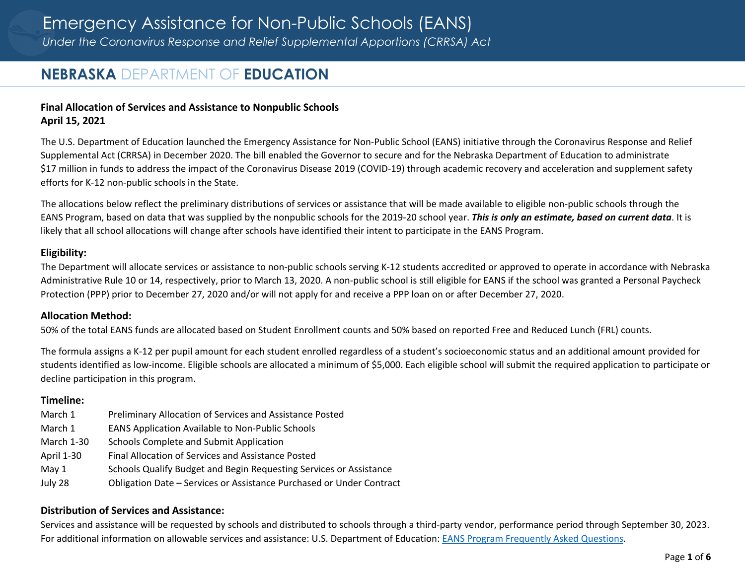# **NEBRASKA** DEPARTMENT OF **EDUCATION**

## **Final Allocation of Services and Assistance to Nonpublic Schools April 15, 2021**

The U.S. Department of Education launched the Emergency Assistance for Non‐Public School (EANS) initiative through the Coronavirus Response and Relief Supplemental Act (CRRSA) in December 2020. The bill enabled the Governor to secure and for the Nebraska Department of Education to administrate \$17 million in funds to address the impact of the Coronavirus Disease 2019 (COVID‐19) through academic recovery and acceleration and supplement safety efforts for K‐12 non‐public schools in the State.

The allocations below reflect the preliminary distributions of services or assistance that will be made available to eligible non‐public schools through the EANS Program, based on data that was supplied by the nonpublic schools for the 2019‐20 school year. *This is only an estimate, based on current data*. It is likely that all school allocations will change after schools have identified their intent to participate in the EANS Program.

### **Eligibility:**

The Department will allocate services or assistance to non‐public schools serving K‐12 students accredited or approved to operate in accordance with Nebraska Administrative Rule 10 or 14, respectively, prior to March 13, 2020. A non‐public school is still eligible for EANS if the school was granted <sup>a</sup> Personal Paycheck Protection (PPP) prior to December 27, 2020 and/or will not apply for and receive <sup>a</sup> PPP loan on or after December 27, 2020.

#### **Allocation Method:**

50% of the total EANS funds are allocated based on Student Enrollment counts and 50% based on reported Free and Reduced Lunch (FRL) counts.

The formula assigns <sup>a</sup> K‐12 per pupil amount for each student enrolled regardless of <sup>a</sup> student's socioeconomic status and an additional amount provided for students identified as low‐income. Eligible schools are allocated <sup>a</sup> minimum of \$5,000. Each eligible school will submit the required application to participate or decline participation in this program.

#### **Timeline:**

March 1 1 Preliminary Allocation of Services and Assistance Posted March 1 1 EANS Application Available to Non‐Public Schools March 1-30 Schools Complete and Submit Application April 1‐30 Final Allocation of Services and Assistance Posted May 1 Schools Qualify Budget and Begin Requesting Services or Assistance July 28 Obligation Date – Services or Assistance Purchased or Under Contract

## **Distribution of Services and Assistance:**

Services and assistance will be requested by schools and distributed to schools through <sup>a</sup> third‐party vendor, performance period through September 30, 2023. For additional information on allowable services and assistance: U.S. Department of Education: EANS Program Frequently Asked Questions.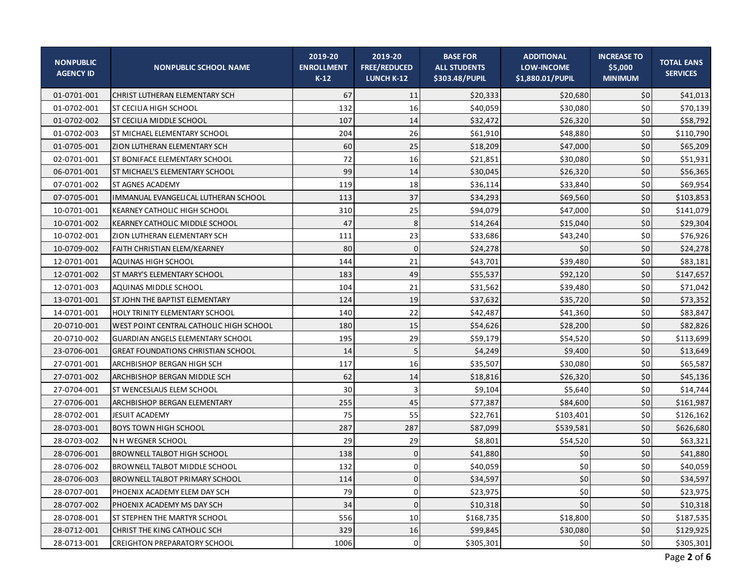| <b>NONPUBLIC</b><br><b>AGENCY ID</b> | <b>NONPUBLIC SCHOOL NAME</b>                | 2019-20<br><b>ENROLLMENT</b><br>$K-12$ | 2019-20<br><b>FREE/REDUCED</b><br><b>LUNCH K-12</b> | <b>BASE FOR</b><br><b>ALL STUDENTS</b><br>\$303.48/PUPIL | <b>ADDITIONAL</b><br><b>LOW-INCOME</b><br>\$1,880.01/PUPIL | <b>INCREASE TO</b><br>\$5,000<br><b>MINIMUM</b> | <b>TOTAL EANS</b><br><b>SERVICES</b> |
|--------------------------------------|---------------------------------------------|----------------------------------------|-----------------------------------------------------|----------------------------------------------------------|------------------------------------------------------------|-------------------------------------------------|--------------------------------------|
| 01-0701-001                          | CHRIST LUTHERAN ELEMENTARY SCH              | 67                                     | 11                                                  | \$20,333                                                 | \$20,680                                                   | \$0                                             | \$41,013                             |
| 01-0702-001                          | <b>ST CECILIA HIGH SCHOOL</b>               | 132                                    | 16                                                  | \$40,059                                                 | \$30.080                                                   | 50                                              | \$70,139                             |
| 01-0702-002                          | ST CECILIA MIDDLE SCHOOL                    | 107                                    | 14                                                  | \$32,472                                                 | \$26,320                                                   | 50                                              | \$58,792                             |
| 01-0702-003                          | ST MICHAEL ELEMENTARY SCHOOL                | 204                                    | 26                                                  | \$61,910                                                 | \$48,880                                                   | 50                                              | \$110,790                            |
| 01-0705-001                          | ZION LUTHERAN ELEMENTARY SCH                | 60                                     | 25                                                  | \$18,209                                                 | \$47,000                                                   | 50                                              | \$65,209                             |
| 02-0701-001                          | ST BONIFACE ELEMENTARY SCHOOL               | 72                                     | 16                                                  | \$21,851                                                 | \$30,080                                                   | 50                                              | \$51,931                             |
| 06-0701-001                          | ST MICHAEL'S ELEMENTARY SCHOOL              | 99                                     | 14                                                  | \$30,045                                                 | \$26,320                                                   | 50                                              | \$56,365                             |
| 07-0701-002                          | <b>ST AGNES ACADEMY</b>                     | 119                                    | 18                                                  | \$36,114                                                 | \$33,840                                                   | 50                                              | \$69,954                             |
| 07-0705-001                          | <b>IMMANUAL EVANGELICAL LUTHERAN SCHOOL</b> | 113                                    | 37                                                  | \$34,293                                                 | \$69,560                                                   | 50                                              | \$103,853                            |
| 10-0701-001                          | <b>KEARNEY CATHOLIC HIGH SCHOOL</b>         | 310                                    | 25                                                  | \$94,079                                                 | \$47,000                                                   | 50                                              | \$141,079                            |
| 10-0701-002                          | KEARNEY CATHOLIC MIDDLE SCHOOL              | 47                                     | 8                                                   | \$14,264                                                 | \$15,040                                                   | 50                                              | \$29,304                             |
| 10-0702-001                          | ZION LUTHERAN ELEMENTARY SCH                | 111                                    | 23                                                  | \$33,686                                                 | \$43,240                                                   | 50                                              | \$76,926                             |
| 10-0709-002                          | FAITH CHRISTIAN ELEM/KEARNEY                | 80                                     | 0                                                   | \$24,278                                                 | \$0                                                        | 50                                              | \$24,278                             |
| 12-0701-001                          | AQUINAS HIGH SCHOOL                         | 144                                    | 21                                                  | \$43,701                                                 | \$39,480                                                   | 50                                              | \$83,181                             |
| 12-0701-002                          | ST MARY'S ELEMENTARY SCHOOL                 | 183                                    | 49                                                  | \$55,537                                                 | \$92,120                                                   | 50                                              | \$147,657                            |
| 12-0701-003                          | AQUINAS MIDDLE SCHOOL                       | 104                                    | 21                                                  | \$31,562                                                 | \$39,480                                                   | 50                                              | \$71,042                             |
| 13-0701-001                          | ST JOHN THE BAPTIST ELEMENTARY              | 124                                    | 19                                                  | \$37,632                                                 | \$35,720                                                   | 50                                              | \$73,352                             |
| 14-0701-001                          | HOLY TRINITY ELEMENTARY SCHOOL              | 140                                    | 22                                                  | \$42,487                                                 | \$41,360                                                   | 50                                              | \$83,847                             |
| 20-0710-001                          | WEST POINT CENTRAL CATHOLIC HIGH SCHOOL     | 180                                    | 15                                                  | \$54,626                                                 | \$28,200                                                   | 50                                              | \$82,826                             |
| 20-0710-002                          | <b>GUARDIAN ANGELS ELEMENTARY SCHOOL</b>    | 195                                    | 29                                                  | \$59,179                                                 | \$54,520                                                   | 50                                              | \$113,699                            |
| 23-0706-001                          | <b>GREAT FOUNDATIONS CHRISTIAN SCHOOL</b>   | 14                                     | 5                                                   | \$4,249                                                  | \$9,400                                                    | 50                                              | \$13,649                             |
| 27-0701-001                          | ARCHBISHOP BERGAN HIGH SCH                  | 117                                    | 16                                                  | \$35,507                                                 | \$30,080                                                   | 50                                              | \$65,587                             |
| 27-0701-002                          | ARCHBISHOP BERGAN MIDDLE SCH                | 62                                     | 14                                                  | \$18,816                                                 | \$26,320                                                   | 50                                              | \$45,136                             |
| 27-0704-001                          | ST WENCESLAUS ELEM SCHOOL                   | 30                                     | $\overline{3}$                                      | \$9,104                                                  | \$5,640                                                    | 50                                              | \$14,744                             |
| 27-0706-001                          | ARCHBISHOP BERGAN ELEMENTARY                | 255                                    | 45                                                  | \$77,387                                                 | \$84,600                                                   | 50                                              | \$161,987                            |
| 28-0702-001                          | <b>JESUIT ACADEMY</b>                       | 75                                     | 55                                                  | \$22,761                                                 | \$103,401                                                  | 50                                              | \$126,162                            |
| 28-0703-001                          | <b>BOYS TOWN HIGH SCHOOL</b>                | 287                                    | 287                                                 | \$87,099                                                 | \$539,581                                                  | 50                                              | \$626,680                            |
| 28-0703-002                          | N H WEGNER SCHOOL                           | 29                                     | 29                                                  | \$8,801                                                  | \$54,520                                                   | 50                                              | \$63,321                             |
| 28-0706-001                          | <b>BROWNELL TALBOT HIGH SCHOOL</b>          | 138                                    | $\Omega$                                            | \$41,880                                                 | \$0                                                        | 50                                              | \$41,880                             |
| 28-0706-002                          | <b>BROWNELL TALBOT MIDDLE SCHOOL</b>        | 132                                    | ΩI                                                  | \$40,059                                                 | sol<br>Yu                                                  | \$0                                             | \$40,059                             |
| 28-0706-003                          | <b>BROWNELL TALBOT PRIMARY SCHOOL</b>       | 114                                    | $\Omega$                                            | \$34,597                                                 | \$0                                                        | 50                                              | \$34,597                             |
| 28-0707-001                          | PHOENIX ACADEMY ELEM DAY SCH                | 79                                     | 0                                                   | \$23,975                                                 | \$0                                                        | 50                                              | \$23,975                             |
| 28-0707-002                          | PHOENIX ACADEMY MS DAY SCH                  | 34                                     | 0                                                   | \$10,318                                                 | \$0                                                        | \$0                                             | \$10,318                             |
| 28-0708-001                          | ST STEPHEN THE MARTYR SCHOOL                | 556                                    | 10                                                  | \$168,735                                                | \$18,800                                                   | \$0                                             | \$187,535                            |
| 28-0712-001                          | CHRIST THE KING CATHOLIC SCH                | 329                                    | 16                                                  | \$99,845                                                 | \$30,080                                                   | \$0                                             | \$129,925                            |
| 28-0713-001                          | <b>CREIGHTON PREPARATORY SCHOOL</b>         | 1006                                   | 0                                                   | \$305,301                                                | \$0                                                        | 50                                              | \$305,301                            |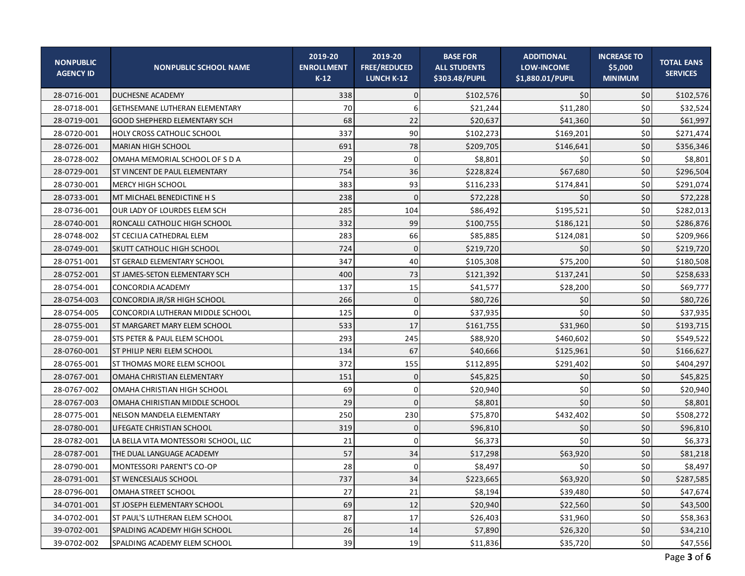| <b>NONPUBLIC</b><br><b>AGENCY ID</b> | <b>NONPUBLIC SCHOOL NAME</b>         | 2019-20<br><b>ENROLLMENT</b><br>$K-12$ | 2019-20<br><b>FREE/REDUCED</b><br>LUNCH K-12 | <b>BASE FOR</b><br><b>ALL STUDENTS</b><br>\$303.48/PUPIL | <b>ADDITIONAL</b><br><b>LOW-INCOME</b><br>\$1,880.01/PUPIL | <b>INCREASE TO</b><br>\$5,000<br><b>MINIMUM</b> | <b>TOTAL EANS</b><br><b>SERVICES</b> |
|--------------------------------------|--------------------------------------|----------------------------------------|----------------------------------------------|----------------------------------------------------------|------------------------------------------------------------|-------------------------------------------------|--------------------------------------|
| 28-0716-001                          | <b>DUCHESNE ACADEMY</b>              | 338                                    | $\Omega$                                     | \$102,576                                                | 50                                                         | 50                                              | \$102,576                            |
| 28-0718-001                          | GETHSEMANE LUTHERAN ELEMENTARY       | 70                                     |                                              | \$21,244                                                 | \$11,280                                                   | \$0                                             | \$32,524                             |
| 28-0719-001                          | GOOD SHEPHERD ELEMENTARY SCH         | 68                                     | 22                                           | \$20,637                                                 | \$41,360                                                   | \$0                                             | \$61,997                             |
| 28-0720-001                          | HOLY CROSS CATHOLIC SCHOOL           | 337                                    | 90                                           | \$102,273                                                | \$169,201                                                  | \$0                                             | \$271,474                            |
| 28-0726-001                          | MARIAN HIGH SCHOOL                   | 691                                    | 78                                           | \$209,705                                                | \$146,641                                                  | \$0                                             | \$356,346                            |
| 28-0728-002                          | OMAHA MEMORIAL SCHOOL OF S D A       | 29                                     | 0                                            | \$8,801                                                  | \$0                                                        | \$0                                             | \$8,801                              |
| 28-0729-001                          | ST VINCENT DE PAUL ELEMENTARY        | 754                                    | 36                                           | \$228,824                                                | \$67,680                                                   | \$0                                             | \$296,504                            |
| 28-0730-001                          | <b>MERCY HIGH SCHOOL</b>             | 383                                    | 93                                           | \$116,233                                                | \$174,841                                                  | \$0                                             | \$291,074                            |
| 28-0733-001                          | MT MICHAEL BENEDICTINE H S           | 238                                    | $\Omega$                                     | \$72,228                                                 | 50                                                         | \$0                                             | \$72,228                             |
| 28-0736-001                          | OUR LADY OF LOURDES ELEM SCH         | 285                                    | 104                                          | \$86,492                                                 | \$195,521                                                  | \$0                                             | \$282,013                            |
| 28-0740-001                          | RONCALLI CATHOLIC HIGH SCHOOL        | 332                                    | 99                                           | \$100,755                                                | \$186,121                                                  | \$0                                             | \$286,876                            |
| 28-0748-002                          | ST CECILIA CATHEDRAL ELEM            | 283                                    | 66                                           | \$85,885                                                 | \$124,081                                                  | \$0                                             | \$209,966                            |
| 28-0749-001                          | <b>SKUTT CATHOLIC HIGH SCHOOL</b>    | 724                                    | $\Omega$                                     | \$219,720                                                | \$0                                                        | \$0                                             | \$219,720                            |
| 28-0751-001                          | ST GERALD ELEMENTARY SCHOOL          | 347                                    | 40                                           | \$105,308                                                | \$75,200                                                   | \$0                                             | \$180,508                            |
| 28-0752-001                          | ST JAMES-SETON ELEMENTARY SCH        | 400                                    | 73                                           | \$121,392                                                | \$137,241                                                  | \$0                                             | \$258,633                            |
| 28-0754-001                          | CONCORDIA ACADEMY                    | 137                                    | 15                                           | \$41,577                                                 | \$28,200                                                   | \$0                                             | \$69,777                             |
| 28-0754-003                          | CONCORDIA JR/SR HIGH SCHOOL          | 266                                    | $\Omega$                                     | \$80,726                                                 | \$0                                                        | \$0                                             | \$80,726                             |
| 28-0754-005                          | CONCORDIA LUTHERAN MIDDLE SCHOOL     | 125                                    | $\Omega$                                     | \$37,935                                                 | \$0                                                        | \$0                                             | \$37,935                             |
| 28-0755-001                          | ST MARGARET MARY ELEM SCHOOL         | 533                                    | 17                                           | \$161,755                                                | \$31,960                                                   | \$0                                             | \$193,715                            |
| 28-0759-001                          | STS PETER & PAUL ELEM SCHOOL         | 293                                    | 245                                          | \$88,920                                                 | \$460,602                                                  | \$0                                             | \$549,522                            |
| 28-0760-001                          | ST PHILIP NERI ELEM SCHOOL           | 134                                    | 67                                           | \$40,666                                                 | \$125,961                                                  | \$0                                             | \$166,627                            |
| 28-0765-001                          | ST THOMAS MORE ELEM SCHOOL           | 372                                    | 155                                          | \$112,895                                                | \$291,402                                                  | \$0                                             | \$404,297                            |
| 28-0767-001                          | OMAHA CHRISTIAN ELEMENTARY           | 151                                    | $\Omega$                                     | \$45,825                                                 | \$0                                                        | \$0                                             | \$45,825                             |
| 28-0767-002                          | OMAHA CHRISTIAN HIGH SCHOOL          | 69                                     | 0                                            | \$20,940                                                 | 50                                                         | \$0                                             | \$20,940                             |
| 28-0767-003                          | OMAHA CHIRISTIAN MIDDLE SCHOOL       | 29                                     | $\Omega$                                     | \$8,801                                                  | \$0                                                        | \$0                                             | \$8,801                              |
| 28-0775-001                          | NELSON MANDELA ELEMENTARY            | 250                                    | 230                                          | \$75,870                                                 | \$432,402                                                  | \$0                                             | \$508,272                            |
| 28-0780-001                          | LIFEGATE CHRISTIAN SCHOOL            | 319                                    | $\Omega$                                     | \$96,810                                                 | \$0                                                        | \$0                                             | \$96,810                             |
| 28-0782-001                          | LA BELLA VITA MONTESSORI SCHOOL, LLC | 21                                     | $\Omega$                                     | \$6,373                                                  | \$0                                                        | \$0                                             | \$6,373                              |
| 28-0787-001                          | THE DUAL LANGUAGE ACADEMY            | 57                                     | 34                                           | \$17,298                                                 | \$63,920                                                   | \$0                                             | \$81,218                             |
| 28-0790-001                          | MONTESSORI PARENT'S CO-OP            | 28                                     | n                                            | \$8,497                                                  | \$0                                                        | $$0$$                                           | \$8,497                              |
| 28-0791-001                          | ST WENCESLAUS SCHOOL                 | 737                                    | 34                                           | \$223,665                                                | \$63,920                                                   | 50                                              | \$287,585                            |
| 28-0796-001                          | OMAHA STREET SCHOOL                  | 27                                     | 21                                           | \$8,194                                                  | \$39,480                                                   | \$0                                             | \$47,674                             |
| 34-0701-001                          | ST JOSEPH ELEMENTARY SCHOOL          | 69                                     | 12                                           | \$20,940                                                 | \$22,560                                                   | \$0                                             | \$43,500                             |
| 34-0702-001                          | ST PAUL'S LUTHERAN ELEM SCHOOL       | 87                                     | 17                                           | \$26,403                                                 | \$31,960                                                   | \$0                                             | \$58,363                             |
| 39-0702-001                          | SPALDING ACADEMY HIGH SCHOOL         | 26                                     | 14                                           | \$7,890                                                  | \$26,320                                                   | \$0                                             | \$34,210                             |
| 39-0702-002                          | SPALDING ACADEMY ELEM SCHOOL         | 39                                     | 19                                           | \$11,836                                                 | \$35,720                                                   | \$0                                             | \$47,556                             |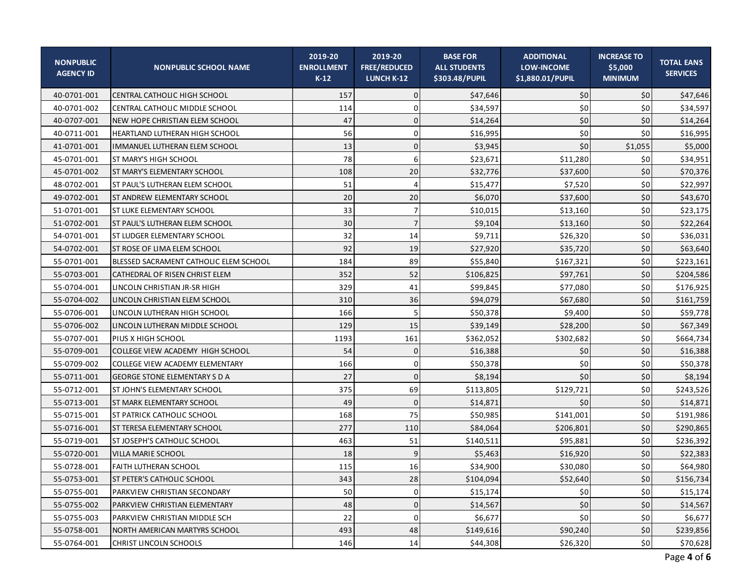| <b>NONPUBLIC</b><br><b>AGENCY ID</b> | <b>NONPUBLIC SCHOOL NAME</b>           | 2019-20<br><b>ENROLLMENT</b><br>$K-12$ | 2019-20<br><b>FREE/REDUCED</b><br><b>LUNCH K-12</b> | <b>BASE FOR</b><br><b>ALL STUDENTS</b><br>\$303.48/PUPIL | <b>ADDITIONAL</b><br><b>LOW-INCOME</b><br>\$1,880.01/PUPIL | <b>INCREASE TO</b><br>\$5,000<br><b>MINIMUM</b> | <b>TOTAL EANS</b><br><b>SERVICES</b> |
|--------------------------------------|----------------------------------------|----------------------------------------|-----------------------------------------------------|----------------------------------------------------------|------------------------------------------------------------|-------------------------------------------------|--------------------------------------|
| 40-0701-001                          | <b>CENTRAL CATHOLIC HIGH SCHOOL</b>    | 157                                    | $\mathbf{0}$                                        | \$47,646                                                 | \$0                                                        | \$0                                             | \$47,646                             |
| 40-0701-002                          | CENTRAL CATHOLIC MIDDLE SCHOOL         | 114                                    | 0                                                   | \$34,597                                                 | \$0                                                        | 50                                              | \$34,597                             |
| 40-0707-001                          | NEW HOPE CHRISTIAN ELEM SCHOOL         | 47                                     | $\mathbf{0}$                                        | \$14,264                                                 | \$0                                                        | 50                                              | \$14,264                             |
| 40-0711-001                          | HEARTLAND LUTHERAN HIGH SCHOOL         | 56                                     | 0                                                   | \$16,995                                                 | \$0                                                        | 50                                              | \$16,995                             |
| 41-0701-001                          | <b>IMMANUEL LUTHERAN ELEM SCHOOL</b>   | 13                                     | $\Omega$                                            | \$3,945                                                  | \$0                                                        | \$1,055                                         | \$5,000                              |
| 45-0701-001                          | <b>ST MARY'S HIGH SCHOOL</b>           | 78                                     | 6                                                   | \$23,671                                                 | \$11,280                                                   | \$0                                             | \$34,951                             |
| 45-0701-002                          | ST MARY'S ELEMENTARY SCHOOL            | 108                                    | 20                                                  | \$32,776                                                 | \$37,600                                                   | 50                                              | \$70,376                             |
| 48-0702-001                          | <b>ST PAUL'S LUTHERAN ELEM SCHOOL</b>  | 51                                     | $\Delta$                                            | \$15,477                                                 | \$7,520                                                    | 50                                              | \$22,997                             |
| 49-0702-001                          | <b>ST ANDREW ELEMENTARY SCHOOL</b>     | 20                                     | 20                                                  | \$6,070                                                  | \$37,600                                                   | 50                                              | \$43,670                             |
| 51-0701-001                          | ST LUKE ELEMENTARY SCHOOL              | 33                                     | 7                                                   | \$10,015                                                 | \$13,160                                                   | 50                                              | \$23,175                             |
| 51-0702-001                          | ST PAUL'S LUTHERAN ELEM SCHOOL         | 30                                     | 7                                                   | \$9,104                                                  | \$13,160                                                   | 50                                              | \$22,264                             |
| 54-0701-001                          | <b>ST LUDGER ELEMENTARY SCHOOL</b>     | 32                                     | 14                                                  | \$9,711                                                  | \$26,320                                                   | 50                                              | \$36,031                             |
| 54-0702-001                          | <b>ST ROSE OF LIMA ELEM SCHOOL</b>     | 92                                     | 19                                                  | \$27,920                                                 | \$35,720                                                   | 50                                              | \$63,640                             |
| 55-0701-001                          | BLESSED SACRAMENT CATHOLIC ELEM SCHOOL | 184                                    | 89                                                  | \$55,840                                                 | \$167,321                                                  | 50                                              | \$223,161                            |
| 55-0703-001                          | CATHEDRAL OF RISEN CHRIST ELEM         | 352                                    | 52                                                  | \$106,825                                                | \$97,761                                                   | 50                                              | \$204,586                            |
| 55-0704-001                          | LINCOLN CHRISTIAN JR-SR HIGH           | 329                                    | 41                                                  | \$99,845                                                 | \$77,080                                                   | \$0                                             | \$176,925                            |
| 55-0704-002                          | LINCOLN CHRISTIAN ELEM SCHOOL          | 310                                    | 36                                                  | \$94,079                                                 | \$67,680                                                   | 50                                              | \$161,759                            |
| 55-0706-001                          | LINCOLN LUTHERAN HIGH SCHOOL           | 166                                    |                                                     | \$50,378                                                 | \$9,400                                                    | 50                                              | \$59,778                             |
| 55-0706-002                          | LINCOLN LUTHERAN MIDDLE SCHOOL         | 129                                    | 15                                                  | \$39,149                                                 | \$28,200                                                   | 50                                              | \$67,349                             |
| 55-0707-001                          | <b>PIUS X HIGH SCHOOL</b>              | 1193                                   | 161                                                 | \$362,052                                                | \$302,682                                                  | 50                                              | \$664,734                            |
| 55-0709-001                          | COLLEGE VIEW ACADEMY HIGH SCHOOL       | 54                                     | $\mathbf{0}$                                        | \$16,388                                                 | \$0                                                        | 50                                              | \$16,388                             |
| 55-0709-002                          | COLLEGE VIEW ACADEMY ELEMENTARY        | 166                                    | 0                                                   | \$50,378                                                 | \$0                                                        | 50                                              | \$50,378                             |
| 55-0711-001                          | <b>GEORGE STONE ELEMENTARY S D A</b>   | 27                                     | $\Omega$                                            | \$8,194                                                  | \$0                                                        | 50                                              | \$8,194                              |
| 55-0712-001                          | ST JOHN'S ELEMENTARY SCHOOL            | 375                                    | 69                                                  | \$113,805                                                | \$129,721                                                  | 50                                              | \$243,526                            |
| 55-0713-001                          | <b>ST MARK ELEMENTARY SCHOOL</b>       | 49                                     | $\Omega$                                            | \$14,871                                                 | \$0                                                        | 50                                              | \$14,871                             |
| 55-0715-001                          | <b>ST PATRICK CATHOLIC SCHOOL</b>      | 168                                    | 75                                                  | \$50,985                                                 | \$141,001                                                  | 50                                              | \$191,986                            |
| 55-0716-001                          | IST TERESA ELEMENTARY SCHOOL           | 277                                    | 110                                                 | \$84,064                                                 | \$206,801                                                  | 50                                              | \$290,865                            |
| 55-0719-001                          | <b>ST JOSEPH'S CATHOLIC SCHOOL</b>     | 463                                    | 51                                                  | \$140,511                                                | \$95,881                                                   | 50                                              | \$236,392                            |
| 55-0720-001                          | VILLA MARIE SCHOOL                     | 18                                     |                                                     | \$5,463                                                  | \$16,920                                                   | 50                                              | \$22,383                             |
| 55-0728-001                          | <b>FAITH LUTHERAN SCHOOL</b>           | 115                                    | 16                                                  | \$34,900                                                 | \$30,080                                                   | $$0$$                                           | \$64,980                             |
| 55-0753-001                          | ST PETER'S CATHOLIC SCHOOL             | 343                                    | 28                                                  | \$104,094                                                | \$52,640                                                   | \$0                                             | \$156,734                            |
| 55-0755-001                          | PARKVIEW CHRISTIAN SECONDARY           | 50                                     | 0                                                   | \$15,174                                                 | \$0                                                        | 50                                              | \$15,174                             |
| 55-0755-002                          | PARKVIEW CHRISTIAN ELEMENTARY          | 48                                     | 0                                                   | \$14,567                                                 | \$0                                                        | \$0                                             | \$14,567                             |
| 55-0755-003                          | PARKVIEW CHRISTIAN MIDDLE SCH          | 22                                     | 0                                                   | \$6,677                                                  | \$0                                                        | 50                                              | \$6,677                              |
| 55-0758-001                          | NORTH AMERICAN MARTYRS SCHOOL          | 493                                    | 48                                                  | \$149,616                                                | \$90,240                                                   | \$0                                             | \$239,856                            |
| 55-0764-001                          | <b>CHRIST LINCOLN SCHOOLS</b>          | 146                                    | 14                                                  | \$44,308                                                 | \$26,320                                                   | 50                                              | \$70,628                             |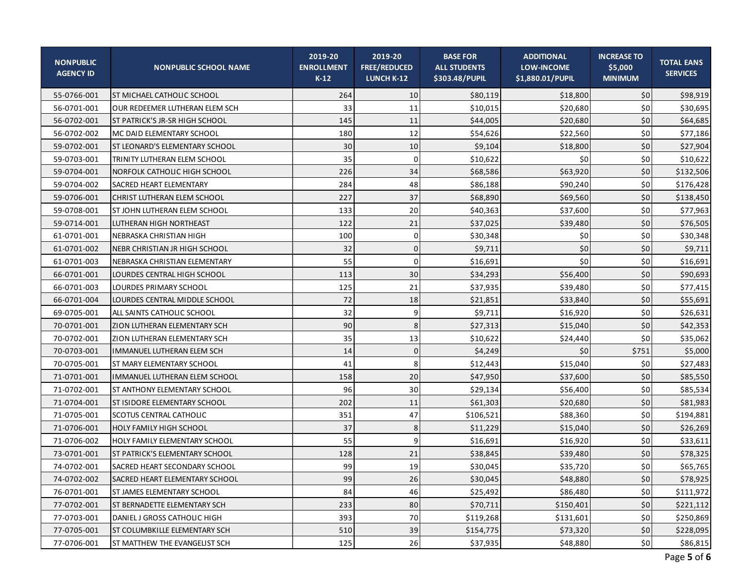| <b>NONPUBLIC</b><br><b>AGENCY ID</b> | <b>NONPUBLIC SCHOOL NAME</b>        | 2019-20<br><b>ENROLLMENT</b><br>$K-12$ | 2019-20<br><b>FREE/REDUCED</b><br><b>LUNCH K-12</b> | <b>BASE FOR</b><br><b>ALL STUDENTS</b><br>\$303.48/PUPIL | <b>ADDITIONAL</b><br><b>LOW-INCOME</b><br>\$1,880.01/PUPIL | <b>INCREASE TO</b><br>\$5,000<br><b>MINIMUM</b> | <b>TOTAL EANS</b><br><b>SERVICES</b> |
|--------------------------------------|-------------------------------------|----------------------------------------|-----------------------------------------------------|----------------------------------------------------------|------------------------------------------------------------|-------------------------------------------------|--------------------------------------|
| 55-0766-001                          | <b>ST MICHAEL CATHOLIC SCHOOL</b>   | 264                                    | 10                                                  | \$80,119                                                 | \$18,800                                                   | \$0                                             | \$98,919                             |
| 56-0701-001                          | OUR REDEEMER LUTHERAN ELEM SCH      | 33                                     | 11                                                  | \$10,015                                                 | \$20.680                                                   | 50                                              | \$30,695                             |
| 56-0702-001                          | ST PATRICK'S JR-SR HIGH SCHOOL      | 145                                    | 11                                                  | \$44,005                                                 | \$20,680                                                   | 50                                              | \$64,685                             |
| 56-0702-002                          | MC DAID ELEMENTARY SCHOOL           | 180                                    | 12                                                  | \$54,626                                                 | \$22,560                                                   | 50                                              | \$77,186                             |
| 59-0702-001                          | ST LEONARD'S ELEMENTARY SCHOOL      | 30                                     | 10                                                  | \$9,104                                                  | \$18,800                                                   | 50                                              | \$27,904                             |
| 59-0703-001                          | TRINITY LUTHERAN ELEM SCHOOL        | 35                                     | $\Omega$                                            | \$10,622                                                 | \$0                                                        | 50                                              | \$10,622                             |
| 59-0704-001                          | <b>NORFOLK CATHOLIC HIGH SCHOOL</b> | 226                                    | 34                                                  | \$68,586                                                 | \$63,920                                                   | 50                                              | \$132,506                            |
| 59-0704-002                          | SACRED HEART ELEMENTARY             | 284                                    | 48                                                  | \$86,188                                                 | \$90,240                                                   | 50                                              | \$176,428                            |
| 59-0706-001                          | CHRIST LUTHERAN ELEM SCHOOL         | 227                                    | 37                                                  | \$68,890                                                 | \$69,560                                                   | 50                                              | \$138,450                            |
| 59-0708-001                          | ST JOHN LUTHERAN ELEM SCHOOL        | 133                                    | 20                                                  | \$40,363                                                 | \$37,600                                                   | 50                                              | \$77,963                             |
| 59-0714-001                          | LUTHERAN HIGH NORTHEAST             | 122                                    | 21                                                  | \$37,025                                                 | \$39,480                                                   | 50                                              | \$76,505                             |
| 61-0701-001                          | NEBRASKA CHRISTIAN HIGH             | 100                                    | $\Omega$                                            | \$30,348                                                 | \$0                                                        | 50                                              | \$30,348                             |
| 61-0701-002                          | NEBR CHRISTIAN JR HIGH SCHOOL       | 32                                     | 0                                                   | \$9,711                                                  | \$0                                                        | 50                                              | \$9,711                              |
| 61-0701-003                          | NEBRASKA CHRISTIAN ELEMENTARY       | 55                                     | $\Omega$                                            | \$16,691                                                 | \$0                                                        | 50                                              | \$16,691                             |
| 66-0701-001                          | LOURDES CENTRAL HIGH SCHOOL         | 113                                    | 30                                                  | \$34,293                                                 | \$56,400                                                   | 50                                              | \$90,693                             |
| 66-0701-003                          | <b>LOURDES PRIMARY SCHOOL</b>       | 125                                    | 21                                                  | \$37,935                                                 | \$39,480                                                   | 50                                              | \$77,415                             |
| 66-0701-004                          | LOURDES CENTRAL MIDDLE SCHOOL       | 72                                     | 18                                                  | \$21,851                                                 | \$33,840                                                   | 50                                              | \$55,691                             |
| 69-0705-001                          | ALL SAINTS CATHOLIC SCHOOL          | 32                                     | 9                                                   | \$9,711                                                  | \$16,920                                                   | 50                                              | \$26,631                             |
| 70-0701-001                          | <b>ZION LUTHERAN ELEMENTARY SCH</b> | 90                                     | 8                                                   | \$27,313                                                 | \$15,040                                                   | 50                                              | \$42,353                             |
| 70-0702-001                          | ZION LUTHERAN ELEMENTARY SCH        | 35                                     | 13                                                  | \$10,622                                                 | \$24,440                                                   | 50                                              | \$35,062                             |
| 70-0703-001                          | IMMANUEL LUTHERAN ELEM SCH          | 14                                     | $\Omega$                                            | \$4,249                                                  | \$0                                                        | \$751                                           | \$5,000                              |
| 70-0705-001                          | <b>ST MARY ELEMENTARY SCHOOL</b>    | 41                                     | 8                                                   | \$12,443                                                 | \$15,040                                                   | 50                                              | \$27,483                             |
| 71-0701-001                          | IMMANUEL LUTHERAN ELEM SCHOOL       | 158                                    | 20                                                  | \$47,950                                                 | \$37,600                                                   | 50                                              | \$85,550                             |
| 71-0702-001                          | <b>ST ANTHONY ELEMENTARY SCHOOL</b> | 96                                     | 30                                                  | \$29,134                                                 | \$56,400                                                   | 50                                              | \$85,534                             |
| 71-0704-001                          | ST ISIDORE ELEMENTARY SCHOOL        | 202                                    | 11                                                  | \$61,303                                                 | \$20,680                                                   | 50                                              | \$81,983                             |
| 71-0705-001                          | <b>SCOTUS CENTRAL CATHOLIC</b>      | 351                                    | 47                                                  | \$106,521                                                | \$88,360                                                   | 50                                              | \$194,881                            |
| 71-0706-001                          | <b>HOLY FAMILY HIGH SCHOOL</b>      | 37                                     | 8                                                   | \$11,229                                                 | \$15,040                                                   | 50                                              | \$26,269                             |
| 71-0706-002                          | HOLY FAMILY ELEMENTARY SCHOOL       | 55                                     | 9                                                   | \$16,691                                                 | \$16,920                                                   | 50                                              | \$33,611                             |
| 73-0701-001                          | ST PATRICK'S ELEMENTARY SCHOOL      | 128                                    | 21                                                  | \$38,845                                                 | \$39,480                                                   | 50                                              | \$78,325                             |
| 74-0702-001                          | SACRED HEART SECONDARY SCHOOL       | qq                                     | 19                                                  | \$30,045                                                 | \$35,720                                                   | \$0                                             | \$65,765                             |
| 74-0702-002                          | SACRED HEART ELEMENTARY SCHOOL      | 99                                     | 26                                                  | \$30,045                                                 | \$48,880                                                   | \$0                                             | \$78,925                             |
| 76-0701-001                          | ST JAMES ELEMENTARY SCHOOL          | 84                                     | 46                                                  | \$25,492                                                 | \$86,480                                                   | \$0                                             | \$111,972                            |
| 77-0702-001                          | ST BERNADETTE ELEMENTARY SCH        | 233                                    | 80                                                  | \$70,711                                                 | \$150,401                                                  | \$0                                             | \$221,112                            |
| 77-0703-001                          | DANIEL J GROSS CATHOLIC HIGH        | 393                                    | 70                                                  | \$119,268                                                | \$131,601                                                  | \$0                                             | \$250,869                            |
| 77-0705-001                          | ST COLUMBKILLE ELEMENTARY SCH       | 510                                    | 39                                                  | \$154,775                                                | \$73,320                                                   | \$0                                             | \$228,095                            |
| 77-0706-001                          | ST MATTHEW THE EVANGELIST SCH       | 125                                    | 26                                                  | \$37,935                                                 | \$48,880                                                   | \$0                                             | \$86,815                             |